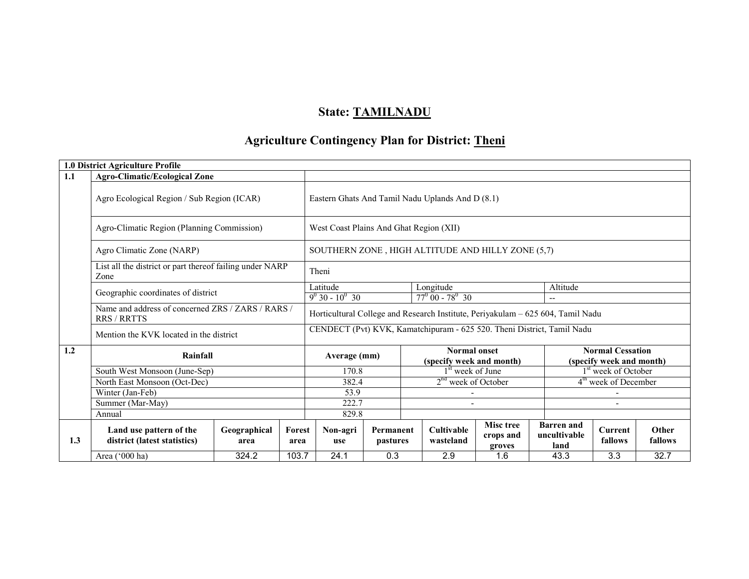# State: TAMILNADU

# Agriculture Contingency Plan for District: <u>Theni</u>

|     | 1.0 District Agriculture Profile                                                                       |                      |                |                                                                                 |                       |                                                                                                        |                                |                                         |                                           |                                  |                  |
|-----|--------------------------------------------------------------------------------------------------------|----------------------|----------------|---------------------------------------------------------------------------------|-----------------------|--------------------------------------------------------------------------------------------------------|--------------------------------|-----------------------------------------|-------------------------------------------|----------------------------------|------------------|
| 1.1 | <b>Agro-Climatic/Ecological Zone</b>                                                                   |                      |                |                                                                                 |                       |                                                                                                        |                                |                                         |                                           |                                  |                  |
|     | Agro Ecological Region / Sub Region (ICAR)                                                             |                      |                | Eastern Ghats And Tamil Nadu Uplands And D (8.1)                                |                       |                                                                                                        |                                |                                         |                                           |                                  |                  |
|     | Agro-Climatic Region (Planning Commission)                                                             |                      |                | West Coast Plains And Ghat Region (XII)                                         |                       |                                                                                                        |                                |                                         |                                           |                                  |                  |
|     | Agro Climatic Zone (NARP)                                                                              |                      |                | SOUTHERN ZONE, HIGH ALTITUDE AND HILLY ZONE (5,7)                               |                       |                                                                                                        |                                |                                         |                                           |                                  |                  |
|     | List all the district or part thereof failing under NARP<br>Zone                                       |                      | Theni          |                                                                                 |                       |                                                                                                        |                                |                                         |                                           |                                  |                  |
|     | Geographic coordinates of district<br>Name and address of concerned ZRS / ZARS / RARS /<br>RRS / RRTTS |                      |                | Latitude                                                                        | Altitude<br>Longitude |                                                                                                        |                                |                                         |                                           |                                  |                  |
|     |                                                                                                        |                      |                | $77^{\circ}$ 00 - 78 <sup>°</sup> 30<br>$9^0$ 30 - $10^0$ 30<br>$- -$           |                       |                                                                                                        |                                |                                         |                                           |                                  |                  |
|     |                                                                                                        |                      |                | Horticultural College and Research Institute, Periyakulam - 625 604, Tamil Nadu |                       |                                                                                                        |                                |                                         |                                           |                                  |                  |
|     | Mention the KVK located in the district                                                                |                      |                | CENDECT (Pvt) KVK, Kamatchipuram - 625 520. Theni District, Tamil Nadu          |                       |                                                                                                        |                                |                                         |                                           |                                  |                  |
| 1.2 | Rainfall                                                                                               |                      |                | Average (mm)                                                                    |                       | <b>Normal Cessation</b><br><b>Normal onset</b><br>(specify week and month)<br>(specify week and month) |                                |                                         |                                           |                                  |                  |
|     | South West Monsoon (June-Sep)                                                                          |                      |                | 170.8                                                                           |                       |                                                                                                        | $1st$ week of June             |                                         |                                           | 1 <sup>st</sup> week of October  |                  |
|     | North East Monsoon (Oct-Dec)                                                                           |                      |                | 382.4                                                                           |                       |                                                                                                        | $2nd$ week of October          |                                         |                                           | 4 <sup>th</sup> week of December |                  |
|     | Winter (Jan-Feb)                                                                                       |                      |                | 53.9                                                                            |                       |                                                                                                        |                                |                                         |                                           |                                  |                  |
|     | Summer (Mar-May)                                                                                       |                      |                | 222.7                                                                           |                       |                                                                                                        |                                |                                         |                                           |                                  |                  |
|     | Annual                                                                                                 |                      |                | 829.8                                                                           |                       |                                                                                                        |                                |                                         |                                           |                                  |                  |
| 1.3 | Land use pattern of the<br>district (latest statistics)                                                | Geographical<br>area | Forest<br>area | Non-agri<br>use                                                                 | Permanent<br>pastures |                                                                                                        | <b>Cultivable</b><br>wasteland | <b>Misc tree</b><br>crops and<br>groves | <b>Barren</b> and<br>uncultivable<br>land | <b>Current</b><br>fallows        | Other<br>fallows |
|     | Area ('000 ha)                                                                                         | 324.2                | 103.7          | 24.1                                                                            | 0.3                   |                                                                                                        | 2.9                            | 1.6                                     | 43.3                                      | 3.3                              | 32.7             |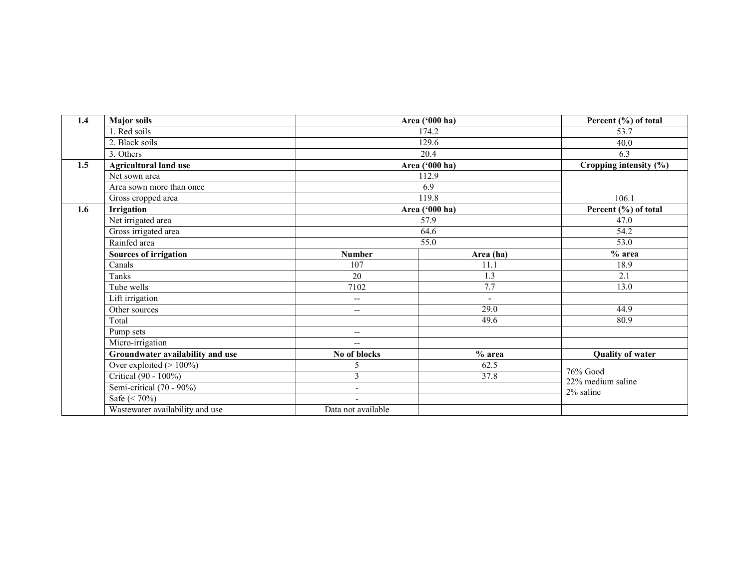| 1.4 | <b>Major soils</b>               |                                                     | Area ('000 ha)           | Percent (%) of total            |  |  |
|-----|----------------------------------|-----------------------------------------------------|--------------------------|---------------------------------|--|--|
|     | 1. Red soils                     |                                                     | 174.2                    | 53.7                            |  |  |
|     | 2. Black soils                   |                                                     | 129.6                    | 40.0                            |  |  |
|     | 3. Others                        |                                                     | 20.4                     | 6.3                             |  |  |
| 1.5 | <b>Agricultural land use</b>     |                                                     | Area ('000 ha)           |                                 |  |  |
|     | Net sown area                    |                                                     | 112.9                    |                                 |  |  |
|     | Area sown more than once         |                                                     | 6.9                      |                                 |  |  |
|     | Gross cropped area               |                                                     | 119.8                    |                                 |  |  |
| 1.6 | Irrigation                       |                                                     | Area ('000 ha)           | Percent (%) of total            |  |  |
|     | Net irrigated area               |                                                     | $\overline{57.9}$        | 47.0                            |  |  |
|     | Gross irrigated area             |                                                     | 64.6                     | 54.2                            |  |  |
|     | Rainfed area                     |                                                     | 55.0                     |                                 |  |  |
|     | <b>Sources of irrigation</b>     | <b>Number</b>                                       | Area (ha)                | $%$ area                        |  |  |
|     | Canals                           | 107                                                 | 11.1                     | 18.9                            |  |  |
|     | Tanks                            | 20                                                  | $\overline{1.3}$         | 2.1                             |  |  |
|     | Tube wells                       | 7102                                                | 7.7                      | 13.0                            |  |  |
|     | Lift irrigation                  | --                                                  | $\overline{\phantom{a}}$ |                                 |  |  |
|     | Other sources                    | $-$                                                 | 29.0                     | 44.9                            |  |  |
|     | Total                            |                                                     | 49.6                     | 80.9                            |  |  |
|     | Pump sets                        | $\hspace{0.05cm} -\hspace{0.05cm} -\hspace{0.05cm}$ |                          |                                 |  |  |
|     | Micro-irrigation                 | $\overline{\phantom{a}}$                            |                          |                                 |  |  |
|     | Groundwater availability and use | No of blocks                                        | $%$ area                 | <b>Quality of water</b>         |  |  |
|     | Over exploited $(>100\%)$        | 5                                                   | 62.5                     |                                 |  |  |
|     | Critical (90 - 100%)             | 3                                                   | 37.8                     | $76%$ Good<br>22% medium saline |  |  |
|     | Semi-critical (70 - 90%)         | $\overline{\phantom{a}}$                            |                          | 2% saline                       |  |  |
|     | Safe $(< 70\%)$                  |                                                     |                          |                                 |  |  |
|     | Wastewater availability and use  | Data not available                                  |                          |                                 |  |  |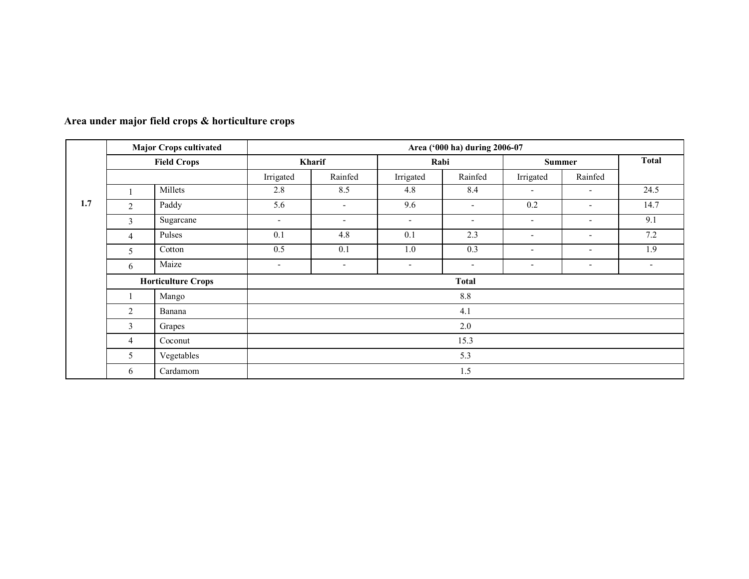|     | <b>Major Crops cultivated</b><br><b>Field Crops</b> |                           |                          |                          |                          | Area ('000 ha) during 2006-07 |                          |                              |                          |
|-----|-----------------------------------------------------|---------------------------|--------------------------|--------------------------|--------------------------|-------------------------------|--------------------------|------------------------------|--------------------------|
|     |                                                     |                           |                          | Kharif                   | Rabi                     |                               | <b>Summer</b>            |                              | <b>Total</b>             |
|     |                                                     |                           | Irrigated                | Rainfed                  | Irrigated                | Rainfed                       | Irrigated                | Rainfed                      |                          |
|     |                                                     | Millets                   | 2.8                      | 8.5                      | 4.8                      | 8.4                           | $\blacksquare$           | $\overline{\phantom{a}}$     | 24.5                     |
| 1.7 | 2                                                   | Paddy                     | 5.6                      | $\sim$                   | 9.6                      | $\overline{\phantom{a}}$      | 0.2                      | $\blacksquare$               | 14.7                     |
|     | 3                                                   | Sugarcane                 | $\overline{\phantom{a}}$ | $\blacksquare$           | $\overline{\phantom{a}}$ | $\overline{\phantom{a}}$      | $\overline{\phantom{a}}$ | $\blacksquare$               | 9.1                      |
|     | $\overline{4}$                                      | Pulses                    | 0.1                      | 4.8                      | 0.1                      | 2.3                           | $\overline{\phantom{a}}$ | $\qquad \qquad \blacksquare$ | 7.2                      |
|     | 5                                                   | Cotton                    | 0.5                      | 0.1                      | 1.0                      | 0.3                           | $\overline{\phantom{a}}$ | $\blacksquare$               | 1.9                      |
|     | 6                                                   | Maize                     | $\overline{\phantom{a}}$ | $\overline{\phantom{a}}$ | $\overline{\phantom{a}}$ | $\overline{\phantom{a}}$      | $\overline{\phantom{a}}$ | $\overline{\phantom{a}}$     | $\overline{\phantom{a}}$ |
|     |                                                     | <b>Horticulture Crops</b> |                          |                          |                          | <b>Total</b>                  |                          |                              |                          |
|     |                                                     | Mango                     |                          |                          |                          | $8.8\,$                       |                          |                              |                          |
|     | $\overline{2}$                                      | Banana                    |                          |                          |                          | 4.1                           |                          |                              |                          |
|     | 3                                                   | Grapes                    |                          |                          |                          | 2.0                           |                          |                              |                          |
|     | $\overline{4}$                                      | Coconut                   |                          |                          |                          | 15.3                          |                          |                              |                          |
|     | 5                                                   | Vegetables                |                          |                          |                          | 5.3                           |                          |                              |                          |
|     | 6                                                   | Cardamom                  |                          |                          |                          | 1.5                           |                          |                              |                          |

#### Area under major field crops & horticulture crops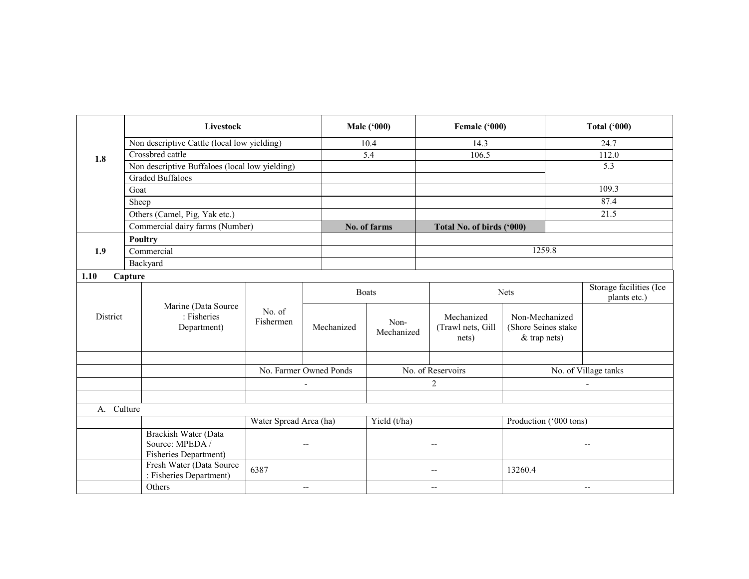|             | <b>Livestock</b>                                                        |                        |                          | <b>Male ('000)</b> | Female ('000)                                       |                                                         | <b>Total ('000)</b>                     |
|-------------|-------------------------------------------------------------------------|------------------------|--------------------------|--------------------|-----------------------------------------------------|---------------------------------------------------------|-----------------------------------------|
|             | Non descriptive Cattle (local low yielding)                             |                        |                          | 10.4               | 14.3                                                |                                                         | 24.7                                    |
| 1.8         | Crossbred cattle                                                        |                        |                          | 5.4<br>106.5       |                                                     |                                                         | 112.0                                   |
|             | Non descriptive Buffaloes (local low yielding)                          |                        |                          |                    |                                                     |                                                         | 5.3                                     |
|             | <b>Graded Buffaloes</b>                                                 |                        |                          |                    |                                                     |                                                         |                                         |
|             | Goat                                                                    |                        |                          |                    |                                                     |                                                         | 109.3                                   |
|             | Sheep                                                                   |                        |                          |                    |                                                     |                                                         | 87.4                                    |
|             | Others (Camel, Pig, Yak etc.)                                           |                        |                          |                    |                                                     |                                                         | 21.5                                    |
|             | Commercial dairy farms (Number)                                         |                        |                          | No. of farms       | Total No. of birds ('000)                           |                                                         |                                         |
|             | <b>Poultry</b>                                                          |                        |                          |                    |                                                     |                                                         |                                         |
| 1.9         | Commercial                                                              |                        |                          |                    |                                                     | 1259.8                                                  |                                         |
|             | Backyard                                                                |                        |                          |                    |                                                     |                                                         |                                         |
| 1.10        | Capture                                                                 |                        |                          |                    |                                                     |                                                         |                                         |
|             |                                                                         |                        |                          | <b>Boats</b>       |                                                     | <b>Nets</b>                                             | Storage facilities (Ice<br>plants etc.) |
| District    | Marine (Data Source<br>: Fisheries<br>Department)                       | No. of<br>Fishermen    | Mechanized               | Non-<br>Mechanized | Mechanized<br>(Trawl nets, Gill<br>nets)            | Non-Mechanized<br>(Shore Seines stake<br>$&$ trap nets) |                                         |
|             |                                                                         |                        | No. Farmer Owned Ponds   |                    | No. of Reservoirs                                   |                                                         |                                         |
|             |                                                                         |                        |                          |                    |                                                     |                                                         | No. of Village tanks                    |
|             |                                                                         |                        |                          |                    | 2                                                   |                                                         |                                         |
|             |                                                                         |                        |                          |                    |                                                     |                                                         |                                         |
| $A_{\cdot}$ | Culture                                                                 |                        |                          |                    |                                                     |                                                         |                                         |
|             |                                                                         | Water Spread Area (ha) |                          | Yield (t/ha)       |                                                     | Production ('000 tons)                                  |                                         |
|             | <b>Brackish Water (Data</b><br>Source: MPEDA /<br>Fisheries Department) |                        | $\overline{\phantom{a}}$ |                    | $\sim$                                              |                                                         |                                         |
|             | Fresh Water (Data Source<br>: Fisheries Department)                     | 6387                   |                          |                    | $\overline{\phantom{a}}$                            | 13260.4                                                 |                                         |
|             | Others                                                                  |                        | $\overline{\phantom{a}}$ |                    | $\hspace{0.05cm} -\hspace{0.05cm} -\hspace{0.05cm}$ |                                                         | $\overline{\phantom{a}}$                |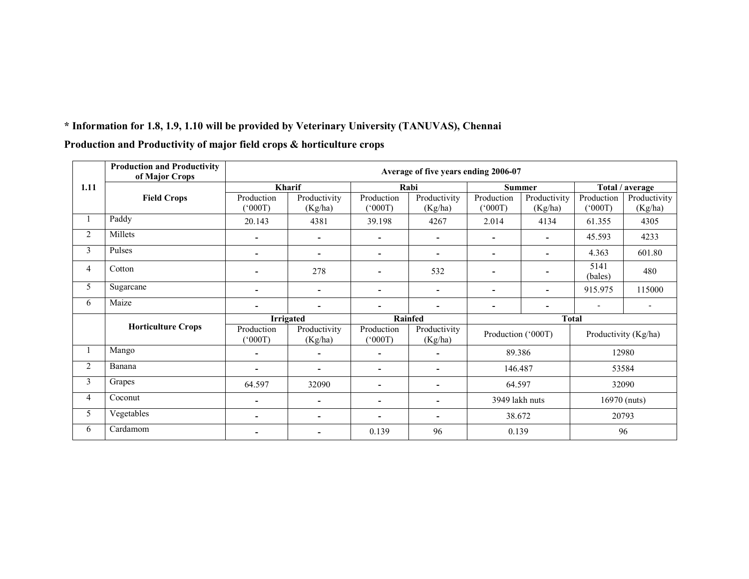|                | <b>Production and Productivity</b><br>of Major Crops |                              |                          |                               | Average of five years ending 2006-07 |                          |                          |                      |                         |  |
|----------------|------------------------------------------------------|------------------------------|--------------------------|-------------------------------|--------------------------------------|--------------------------|--------------------------|----------------------|-------------------------|--|
| 1.11           |                                                      |                              | Kharif                   |                               | Rabi                                 |                          | <b>Summer</b>            |                      | Total / average         |  |
|                | <b>Field Crops</b>                                   | Production<br>(1000)         | Productivity<br>(Kg/ha)  | Production<br>$(000^{\circ})$ | Productivity<br>(Kg/ha)              | Production<br>(000)      | Productivity<br>(Kg/ha)  | Production<br>(1000) | Productivity<br>(Kg/ha) |  |
|                | Paddy                                                | 20.143                       | 4381                     | 39.198                        | 4267                                 | 2.014                    | 4134                     | 61.355               | 4305                    |  |
| $\overline{2}$ | Millets                                              | $\overline{\phantom{a}}$     | $\overline{\phantom{a}}$ |                               | ۰                                    | ٠                        | $\overline{\phantom{a}}$ | 45.593               | 4233                    |  |
| 3              | Pulses                                               |                              | $\overline{\phantom{a}}$ | $\overline{\phantom{0}}$      | $\blacksquare$                       | $\overline{\phantom{a}}$ |                          | 4.363                | 601.80                  |  |
| $\overline{4}$ | Cotton                                               |                              | 278                      |                               | 532                                  |                          |                          | 5141<br>(bales)      | 480                     |  |
| 5              | Sugarcane                                            | ٠                            | $\overline{\phantom{a}}$ | ۰                             | ۰.                                   | $\overline{\phantom{a}}$ | ۰                        | 915.975              | 115000                  |  |
| 6              | Maize                                                | $\overline{\phantom{a}}$     | $\overline{\phantom{a}}$ | ۰                             | ۰                                    | $\overline{\phantom{a}}$ | $\overline{\phantom{a}}$ |                      |                         |  |
|                |                                                      |                              | <b>Irrigated</b>         |                               | <b>Rainfed</b>                       |                          |                          | <b>Total</b>         |                         |  |
|                | <b>Horticulture Crops</b>                            | Production<br>$^{\prime}000$ | Productivity<br>(Kg/ha)  | Production<br>(1000)          | Productivity<br>(Kg/ha)              | Production ('000T)       |                          |                      | Productivity (Kg/ha)    |  |
|                | Mango                                                |                              |                          |                               | $\overline{\phantom{0}}$             | 89.386                   |                          |                      | 12980                   |  |
| $\overline{2}$ | Banana                                               |                              | $\overline{\phantom{a}}$ | ۰                             | ۰                                    | 146.487                  |                          |                      | 53584                   |  |
| 3              | Grapes                                               | 64.597                       | 32090                    |                               | ۰                                    | 64.597                   |                          |                      | 32090                   |  |
| $\overline{4}$ | Coconut                                              | ٠                            | $\overline{\phantom{a}}$ | ۰                             | ٠                                    | 3949 lakh nuts           |                          |                      | 16970 (nuts)            |  |
| 5              | Vegetables                                           | ٠                            | $\overline{\phantom{a}}$ |                               | ۰                                    | 38.672                   |                          | 20793                |                         |  |
| 6              | Cardamom                                             |                              | $\overline{\phantom{a}}$ | 0.139                         | 96                                   | 0.139                    |                          |                      | 96                      |  |

# Production and Productivity of major field crops & horticulture crops

\* Information for 1.8, 1.9, 1.10 will be provided by Veterinary University (TANUVAS), Chennai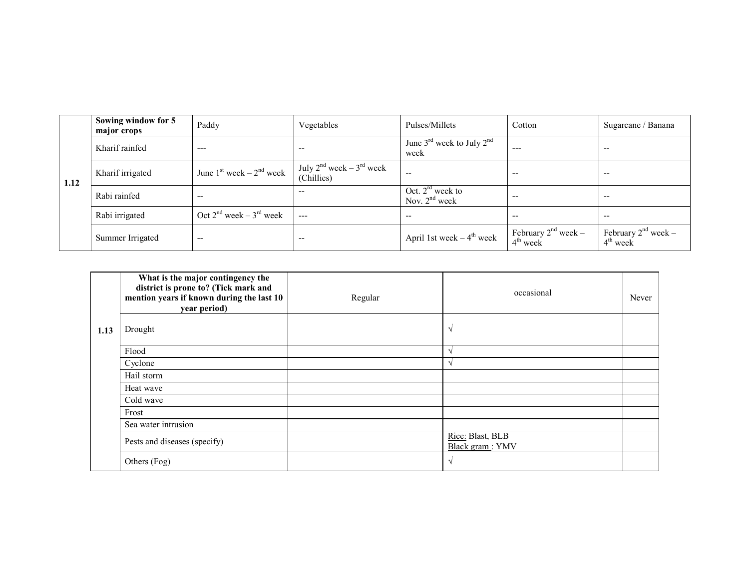|      | Sowing window for 5<br>major crops | Paddy                             | Vegetables                                       | Pulses/Millets                                            | Cotton                                 | Sugarcane / Banana                     |
|------|------------------------------------|-----------------------------------|--------------------------------------------------|-----------------------------------------------------------|----------------------------------------|----------------------------------------|
|      | Kharif rainfed                     | $---$                             | $- -$                                            | June $3^{\text{rd}}$ week to July $2^{\text{nd}}$<br>week | ---                                    | $-$                                    |
| 1.12 | Kharif irrigated                   | June $1st$ week – $2nd$ week      | July $2^{nd}$ week – $3^{rd}$ week<br>(Chillies) | $- -$                                                     | $-$                                    | $-$                                    |
|      | Rabi rainfed                       | $- -$                             | $- -$                                            | Oct. $2^{rd}$ week to<br>Nov. $2nd$ week                  | $-$                                    | $-$                                    |
|      | Rabi irrigated                     | Oct $2^{nd}$ week – $3^{rd}$ week | $---$                                            | $- -$                                                     | $- -$                                  | $-$                                    |
|      | Summer Irrigated                   | $- -$                             | $- -$                                            | April 1st week $-4$ <sup>th</sup> week                    | February $2^{nd}$ week –<br>$4th$ week | February $2^{nd}$ week –<br>$4th$ week |

|      | What is the major contingency the<br>district is prone to? (Tick mark and<br>mention years if known during the last 10<br>year period) | Regular | occasional                          | Never |
|------|----------------------------------------------------------------------------------------------------------------------------------------|---------|-------------------------------------|-------|
| 1.13 | Drought                                                                                                                                |         | ٦                                   |       |
|      | Flood                                                                                                                                  |         |                                     |       |
|      | Cyclone                                                                                                                                |         |                                     |       |
|      | Hail storm                                                                                                                             |         |                                     |       |
|      | Heat wave                                                                                                                              |         |                                     |       |
|      | Cold wave                                                                                                                              |         |                                     |       |
|      | Frost                                                                                                                                  |         |                                     |       |
|      | Sea water intrusion                                                                                                                    |         |                                     |       |
|      | Pests and diseases (specify)                                                                                                           |         | Rice: Blast, BLB<br>Black gram: YMV |       |
|      | Others (Fog)                                                                                                                           |         |                                     |       |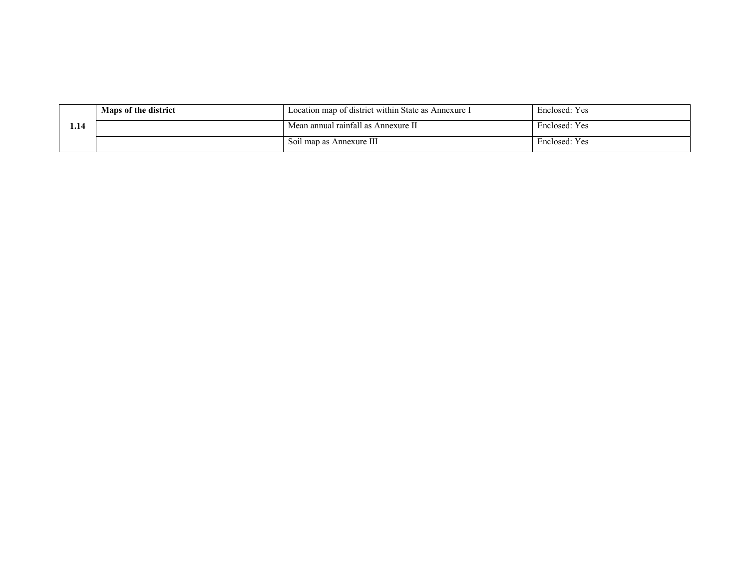|      | Maps of the district | Location map of district within State as Annexure I | Enclosed: Yes |
|------|----------------------|-----------------------------------------------------|---------------|
| l.14 |                      | Mean annual rainfall as Annexure II                 | Enclosed: Yes |
|      |                      | Soil map as Annexure III                            | Enclosed: Yes |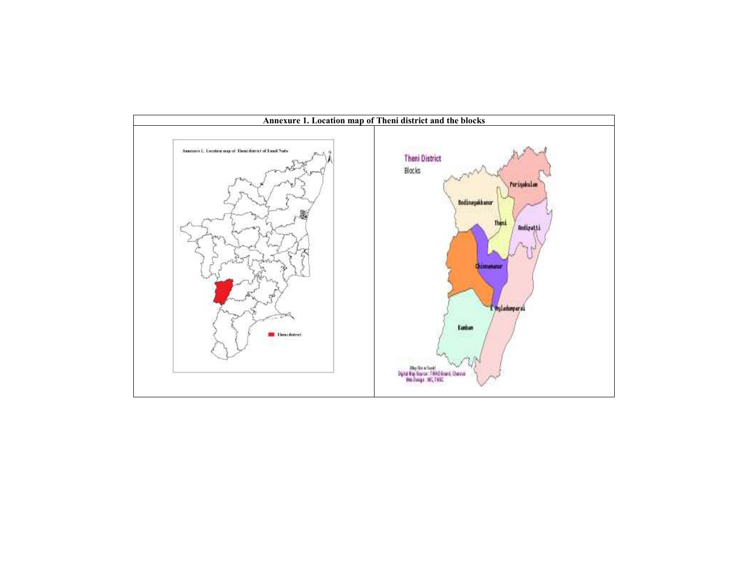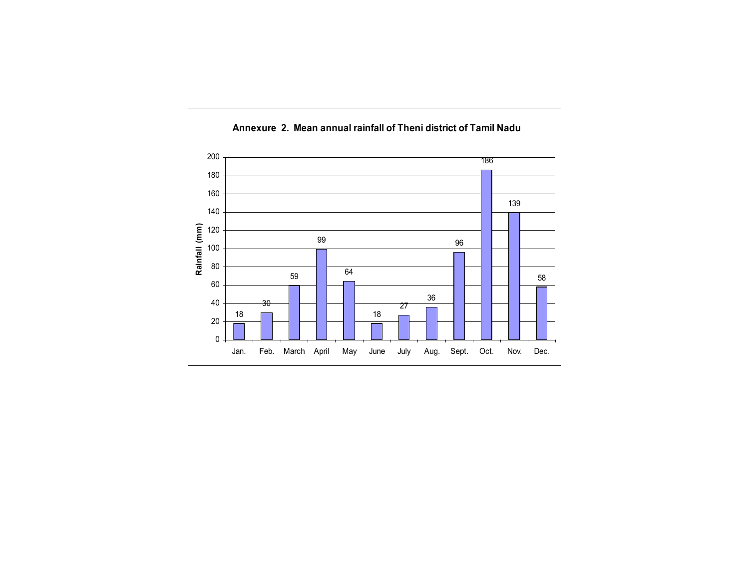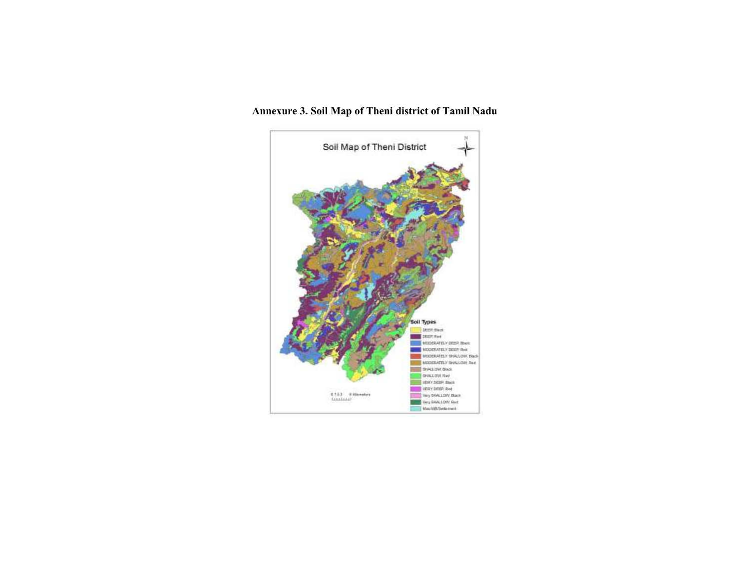# Annexure 3. Soil Map of Theni district of Tamil Nadu

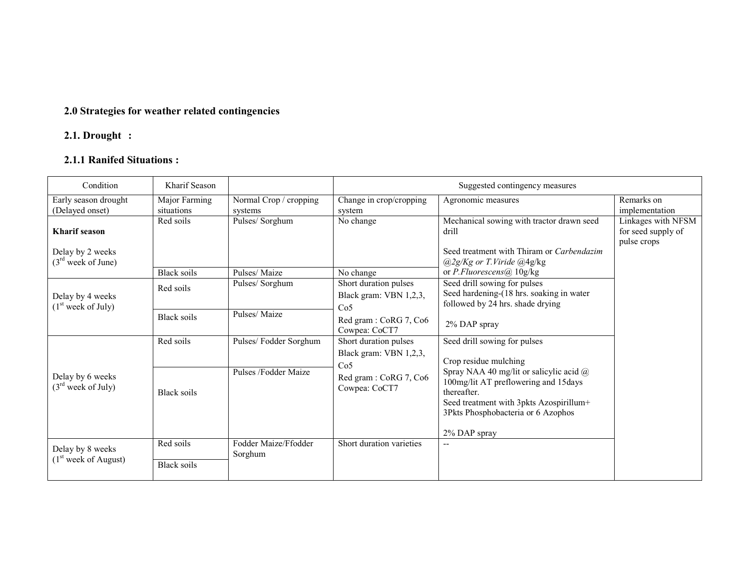#### 2.0 Strategies for weather related contingencies

#### 2.1. Drought :

# 2.1.1 Ranifed Situations :

| Condition                                            | Kharif Season               |                                   | Suggested contingency measures                                     |                                                                                                                                                                                 |                                                         |  |  |  |
|------------------------------------------------------|-----------------------------|-----------------------------------|--------------------------------------------------------------------|---------------------------------------------------------------------------------------------------------------------------------------------------------------------------------|---------------------------------------------------------|--|--|--|
| Early season drought<br>(Delayed onset)              | Major Farming<br>situations | Normal Crop / cropping<br>systems | Change in crop/cropping<br>system                                  | Agronomic measures                                                                                                                                                              | Remarks on<br>implementation                            |  |  |  |
| <b>Kharif</b> season                                 | Red soils                   | Pulses/Sorghum                    | No change                                                          | Mechanical sowing with tractor drawn seed<br>drill<br>Seed treatment with Thiram or Carbendazim                                                                                 | Linkages with NFSM<br>for seed supply of<br>pulse crops |  |  |  |
| Delay by 2 weeks<br>(3 <sup>rd</sup> week of June)   | <b>Black soils</b>          | Pulses/Maize                      | No change                                                          | $(a)2g/Kg$ or T. Viride $(a)4g/kg$<br>or P.Fluorescens@ 10g/kg                                                                                                                  |                                                         |  |  |  |
| Delay by 4 weeks<br>(1 <sup>st</sup> week of July)   | Red soils                   | Pulses/Sorghum                    | Short duration pulses<br>Black gram: VBN 1,2,3,<br>Co <sub>5</sub> | Seed drill sowing for pulses<br>Seed hardening-(18 hrs. soaking in water<br>followed by 24 hrs. shade drying                                                                    |                                                         |  |  |  |
|                                                      | Black soils                 | Pulses/Maize                      | Red gram: CoRG 7, Co6<br>Cowpea: CoCT7                             | 2% DAP spray                                                                                                                                                                    |                                                         |  |  |  |
|                                                      | Red soils                   | Pulses/Fodder Sorghum             | Short duration pulses<br>Black gram: VBN 1,2,3,<br>Co <sub>5</sub> | Seed drill sowing for pulses<br>Crop residue mulching                                                                                                                           |                                                         |  |  |  |
| Delay by 6 weeks<br>(3 <sup>rd</sup> week of July)   | Black soils                 | Pulses /Fodder Maize              | Red gram: CoRG 7, Co6<br>Cowpea: CoCT7                             | Spray NAA 40 mg/lit or salicylic acid @<br>100mg/lit AT preflowering and 15days<br>thereafter.<br>Seed treatment with 3pkts Azospirillum+<br>3Pkts Phosphobacteria or 6 Azophos |                                                         |  |  |  |
|                                                      | Red soils                   | Fodder Maize/Ffodder              | Short duration varieties                                           | 2% DAP spray<br>$- -$                                                                                                                                                           |                                                         |  |  |  |
| Delay by 8 weeks<br>(1 <sup>st</sup> week of August) | <b>Black soils</b>          | Sorghum                           |                                                                    |                                                                                                                                                                                 |                                                         |  |  |  |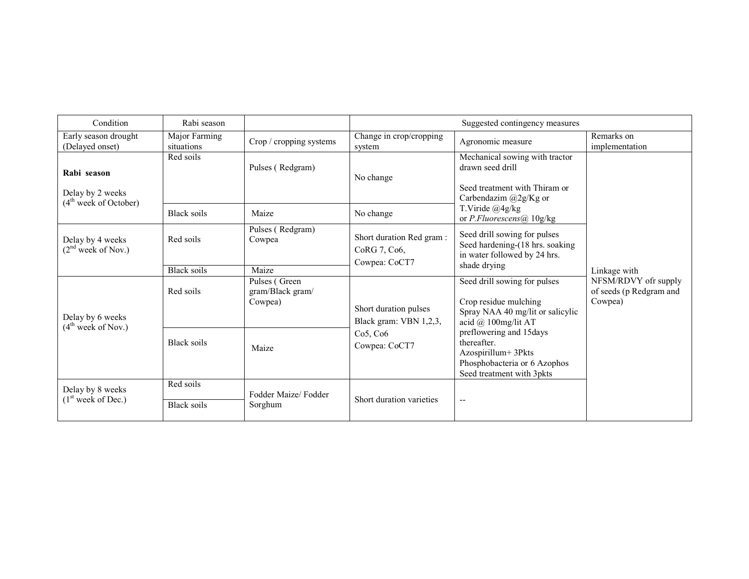| Condition                                                            | Rabi season                 |                                              |                                                           | Suggested contingency measures                                                                                             |                                                            |  |
|----------------------------------------------------------------------|-----------------------------|----------------------------------------------|-----------------------------------------------------------|----------------------------------------------------------------------------------------------------------------------------|------------------------------------------------------------|--|
| Early season drought<br>(Delayed onset)                              | Major Farming<br>situations | Crop / cropping systems                      | Change in crop/cropping<br>system                         | Agronomic measure                                                                                                          | Remarks on<br>implementation                               |  |
| Rabi season<br>Delay by 2 weeks<br>(4 <sup>th</sup> week of October) | Red soils                   | Pulses (Redgram)                             | No change                                                 | Mechanical sowing with tractor<br>drawn seed drill<br>Seed treatment with Thiram or<br>Carbendazim @2g/Kg or               |                                                            |  |
|                                                                      | <b>Black soils</b>          | Maize                                        | No change                                                 | T.Viride @4g/kg<br>or P.Fluorescens@ 10g/kg                                                                                |                                                            |  |
| Delay by 4 weeks<br>(2 <sup>nd</sup> week of Nov.)                   | Red soils                   | Pulses (Redgram)<br>Cowpea                   | Short duration Red gram:<br>CoRG 7, Co6,<br>Cowpea: CoCT7 | Seed drill sowing for pulses<br>Seed hardening-(18 hrs. soaking<br>in water followed by 24 hrs.<br>shade drying            |                                                            |  |
|                                                                      | <b>Black soils</b>          | Maize                                        |                                                           |                                                                                                                            | Linkage with                                               |  |
| Delay by 6 weeks<br>(4 <sup>th</sup> week of Nov.)                   | Red soils                   | Pulses (Green<br>gram/Black gram/<br>Cowpea) | Short duration pulses<br>Black gram: VBN 1,2,3,           | Seed drill sowing for pulses<br>Crop residue mulching<br>Spray NAA 40 mg/lit or salicylic<br>acid @ 100mg/lit AT           | NFSM/RDVY ofr supply<br>of seeds (p Redgram and<br>Cowpea) |  |
|                                                                      | <b>Black soils</b>          | Maize                                        | Co5, Co6<br>Cowpea: CoCT7                                 | preflowering and 15days<br>thereafter.<br>Azospirillum+ 3Pkts<br>Phosphobacteria or 6 Azophos<br>Seed treatment with 3pkts |                                                            |  |
| Delay by 8 weeks                                                     | Red soils                   | Fodder Maize/Fodder                          |                                                           |                                                                                                                            |                                                            |  |
| (1 <sup>st</sup> week of Dec.)                                       | <b>Black soils</b>          | Sorghum                                      | Short duration varieties                                  | $\overline{\phantom{a}}$                                                                                                   |                                                            |  |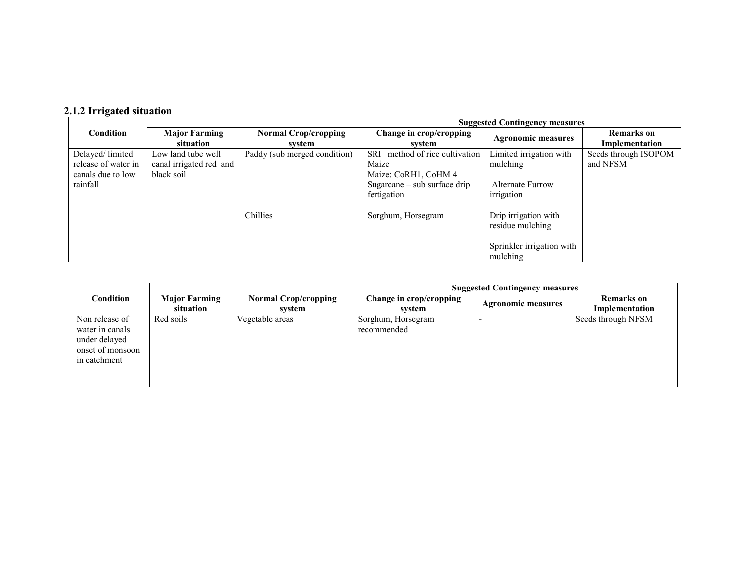# 2.1.2 Irrigated situation

|                     |                                   |                                       | <b>Suggested Contingency measures</b>    |                           |                                     |  |  |
|---------------------|-----------------------------------|---------------------------------------|------------------------------------------|---------------------------|-------------------------------------|--|--|
| <b>Condition</b>    | <b>Major Farming</b><br>situation | <b>Normal Crop/cropping</b><br>svstem | Change in crop/cropping<br>svstem        | <b>Agronomic measures</b> | <b>Remarks</b> on<br>Implementation |  |  |
| Delayed/limited     | Low land tube well                | Paddy (sub merged condition)          | method of rice cultivation<br><b>SRI</b> | Limited irrigation with   | Seeds through ISOPOM                |  |  |
| release of water in | canal irrigated red and           |                                       | Maize                                    | mulching                  | and NFSM                            |  |  |
| canals due to low   | black soil                        |                                       | Maize: CoRH1, CoHM 4                     |                           |                                     |  |  |
| rainfall            |                                   |                                       | Sugarcane $-$ sub surface drip           | <b>Alternate Furrow</b>   |                                     |  |  |
|                     |                                   |                                       | fertigation                              | irrigation                |                                     |  |  |
|                     |                                   |                                       |                                          |                           |                                     |  |  |
|                     |                                   | Chillies                              | Sorghum, Horsegram                       | Drip irrigation with      |                                     |  |  |
|                     |                                   |                                       |                                          | residue mulching          |                                     |  |  |
|                     |                                   |                                       |                                          |                           |                                     |  |  |
|                     |                                   |                                       |                                          | Sprinkler irrigation with |                                     |  |  |
|                     |                                   |                                       |                                          | mulching                  |                                     |  |  |

|                                                                                        |                                   |                                       | <b>Suggested Contingency measures</b> |                           |                                     |  |  |  |
|----------------------------------------------------------------------------------------|-----------------------------------|---------------------------------------|---------------------------------------|---------------------------|-------------------------------------|--|--|--|
| Condition                                                                              | <b>Major Farming</b><br>situation | <b>Normal Crop/cropping</b><br>system | Change in crop/cropping<br>system     | <b>Agronomic measures</b> | <b>Remarks</b> on<br>Implementation |  |  |  |
| Non release of<br>water in canals<br>under delayed<br>onset of monsoon<br>in catchment | Red soils                         | Vegetable areas                       | Sorghum, Horsegram<br>recommended     |                           | Seeds through NFSM                  |  |  |  |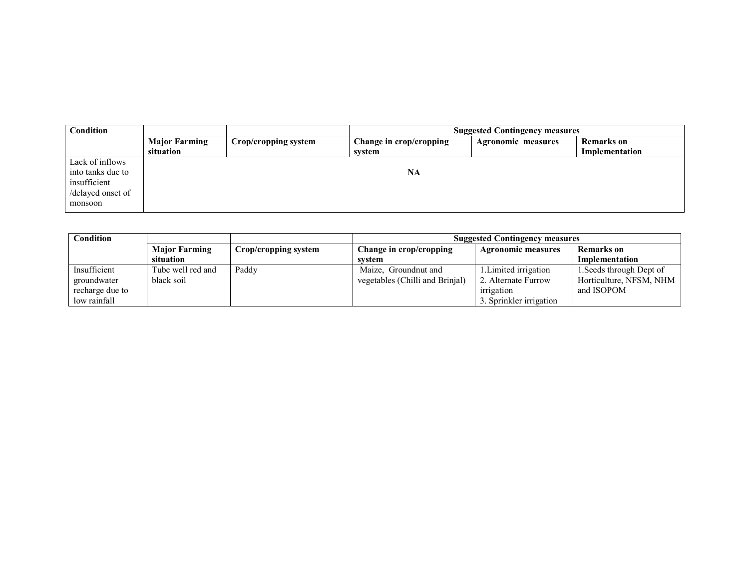| <b>Condition</b>                                                                     |                                   | <b>Suggested Contingency measures</b> |                                   |                    |                                     |
|--------------------------------------------------------------------------------------|-----------------------------------|---------------------------------------|-----------------------------------|--------------------|-------------------------------------|
|                                                                                      | <b>Major Farming</b><br>situation | Crop/cropping system                  | Change in crop/cropping<br>svstem | Agronomic measures | <b>Remarks</b> on<br>Implementation |
| Lack of inflows<br>into tanks due to<br>insufficient<br>/delayed onset of<br>monsoon |                                   |                                       | <b>NA</b>                         |                    |                                     |

| Condition       |                      | <b>Suggested Contingency measures</b> |                                 |                           |                          |
|-----------------|----------------------|---------------------------------------|---------------------------------|---------------------------|--------------------------|
|                 | <b>Major Farming</b> | Crop/cropping system                  | Change in crop/cropping         | <b>Agronomic measures</b> | <b>Remarks</b> on        |
|                 | situation            |                                       | svstem                          |                           | Implementation           |
| Insufficient    | Tube well red and    | Paddy                                 | Maize, Groundnut and            | 1. Limited irrigation     | 1. Seeds through Dept of |
| groundwater     | black soil           |                                       | vegetables (Chilli and Brinial) | 2. Alternate Furrow       | Horticulture, NFSM, NHM  |
| recharge due to |                      |                                       |                                 | irrigation                | and ISOPOM               |
| low rainfall    |                      |                                       |                                 | 3. Sprinkler irrigation   |                          |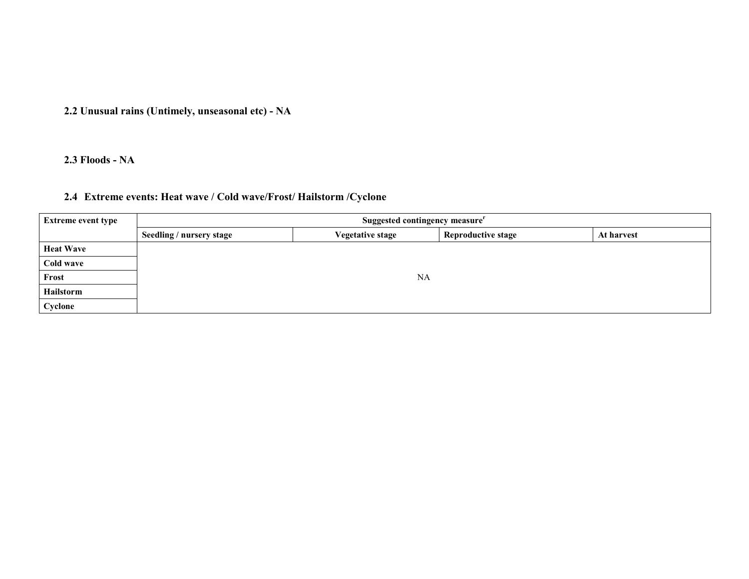2.2 Unusual rains (Untimely, unseasonal etc) - NA

2.3 Floods - NA

### 2.4 Extreme events: Heat wave / Cold wave/Frost/ Hailstorm /Cyclone

| <b>Extreme event type</b> | Suggested contingency measure <sup>r</sup> |                         |                           |            |  |  |  |
|---------------------------|--------------------------------------------|-------------------------|---------------------------|------------|--|--|--|
|                           | Seedling / nursery stage                   | <b>Vegetative stage</b> | <b>Reproductive stage</b> | At harvest |  |  |  |
| <b>Heat Wave</b>          |                                            |                         |                           |            |  |  |  |
| Cold wave                 |                                            |                         |                           |            |  |  |  |
| Frost                     | NA                                         |                         |                           |            |  |  |  |
| Hailstorm                 |                                            |                         |                           |            |  |  |  |
| Cyclone                   |                                            |                         |                           |            |  |  |  |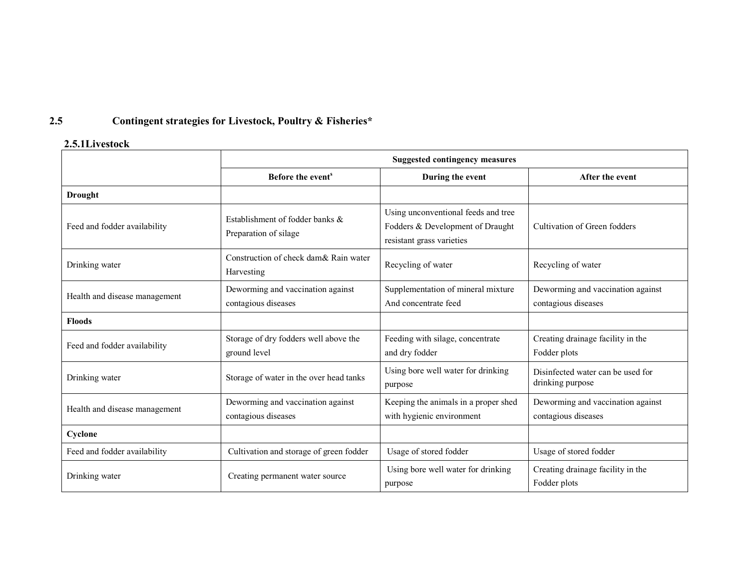#### 2.5Contingent strategies for Livestock, Poultry & Fisheries\*

#### 2.5.1Livestock

|                               | <b>Suggested contingency measures</b>                    |                                                                                                      |                                                          |
|-------------------------------|----------------------------------------------------------|------------------------------------------------------------------------------------------------------|----------------------------------------------------------|
|                               | Before the event <sup>s</sup>                            | During the event                                                                                     | After the event                                          |
| <b>Drought</b>                |                                                          |                                                                                                      |                                                          |
| Feed and fodder availability  | Establishment of fodder banks &<br>Preparation of silage | Using unconventional feeds and tree<br>Fodders & Development of Draught<br>resistant grass varieties | Cultivation of Green fodders                             |
| Drinking water                | Construction of check dam& Rain water<br>Harvesting      | Recycling of water                                                                                   | Recycling of water                                       |
| Health and disease management | Deworming and vaccination against<br>contagious diseases | Supplementation of mineral mixture<br>And concentrate feed                                           | Deworming and vaccination against<br>contagious diseases |
| <b>Floods</b>                 |                                                          |                                                                                                      |                                                          |
| Feed and fodder availability  | Storage of dry fodders well above the<br>ground level    | Feeding with silage, concentrate<br>and dry fodder                                                   | Creating drainage facility in the<br>Fodder plots        |
| Drinking water                | Storage of water in the over head tanks                  | Using bore well water for drinking<br>purpose                                                        | Disinfected water can be used for<br>drinking purpose    |
| Health and disease management | Deworming and vaccination against<br>contagious diseases | Keeping the animals in a proper shed<br>with hygienic environment                                    | Deworming and vaccination against<br>contagious diseases |
| Cyclone                       |                                                          |                                                                                                      |                                                          |
| Feed and fodder availability  | Cultivation and storage of green fodder                  | Usage of stored fodder                                                                               | Usage of stored fodder                                   |
| Drinking water                | Creating permanent water source                          | Using bore well water for drinking<br>purpose                                                        | Creating drainage facility in the<br>Fodder plots        |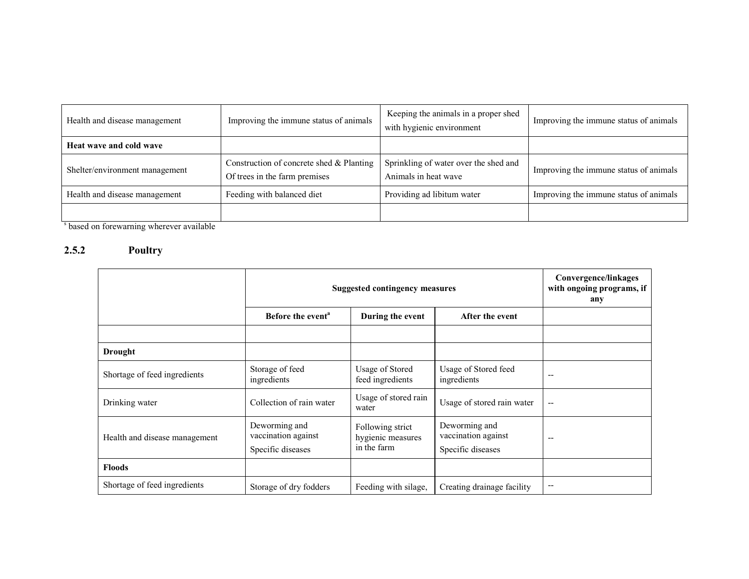| Health and disease management  | Improving the immune status of animals                                    | Keeping the animals in a proper shed<br>with hygienic environment | Improving the immune status of animals |
|--------------------------------|---------------------------------------------------------------------------|-------------------------------------------------------------------|----------------------------------------|
| Heat wave and cold wave        |                                                                           |                                                                   |                                        |
| Shelter/environment management | Construction of concrete shed & Planting<br>Of trees in the farm premises | Sprinkling of water over the shed and<br>Animals in heat wave     | Improving the immune status of animals |
| Health and disease management  | Feeding with balanced diet                                                | Providing ad libitum water                                        | Improving the immune status of animals |
|                                |                                                                           |                                                                   |                                        |

s based on forewarning wherever available

#### 2.5.2 Poultry

|                               | <b>Suggested contingency measures</b>                     |                                                      |                                                           | Convergence/linkages<br>with ongoing programs, if<br>any |
|-------------------------------|-----------------------------------------------------------|------------------------------------------------------|-----------------------------------------------------------|----------------------------------------------------------|
|                               | Before the event <sup>a</sup>                             | During the event                                     | After the event                                           |                                                          |
|                               |                                                           |                                                      |                                                           |                                                          |
| <b>Drought</b>                |                                                           |                                                      |                                                           |                                                          |
| Shortage of feed ingredients  | Storage of feed<br>ingredients                            | <b>Usage of Stored</b><br>feed ingredients           | Usage of Stored feed<br>ingredients                       | --                                                       |
| Drinking water                | Collection of rain water                                  | Usage of stored rain<br>water                        | Usage of stored rain water                                | --                                                       |
| Health and disease management | Deworming and<br>vaccination against<br>Specific diseases | Following strict<br>hygienic measures<br>in the farm | Deworming and<br>vaccination against<br>Specific diseases | $- -$                                                    |
| <b>Floods</b>                 |                                                           |                                                      |                                                           |                                                          |
| Shortage of feed ingredients  | Storage of dry fodders                                    | Feeding with silage,                                 | Creating drainage facility                                | --                                                       |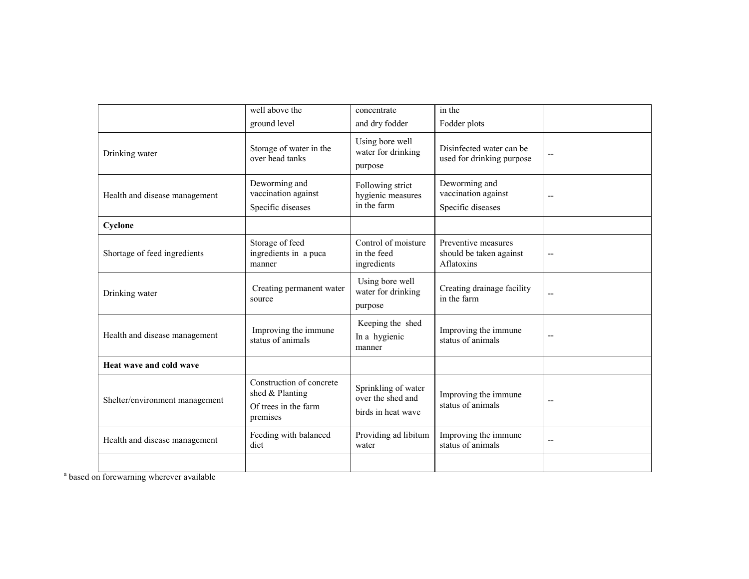|                                | well above the<br>ground level                                                  | concentrate<br>and dry fodder                                  | in the<br>Fodder plots                                       |                          |
|--------------------------------|---------------------------------------------------------------------------------|----------------------------------------------------------------|--------------------------------------------------------------|--------------------------|
| Drinking water                 | Storage of water in the<br>over head tanks                                      | Using bore well<br>water for drinking<br>purpose               | Disinfected water can be<br>used for drinking purpose        | $\overline{\phantom{a}}$ |
| Health and disease management  | Deworming and<br>vaccination against<br>Specific diseases                       | Following strict<br>hygienic measures<br>in the farm           | Deworming and<br>vaccination against<br>Specific diseases    | $\overline{\phantom{a}}$ |
| Cyclone                        |                                                                                 |                                                                |                                                              |                          |
| Shortage of feed ingredients   | Storage of feed<br>ingredients in a puca<br>manner                              | Control of moisture<br>in the feed<br>ingredients              | Preventive measures<br>should be taken against<br>Aflatoxins | $\overline{a}$           |
| Drinking water                 | Creating permanent water<br>source                                              | Using bore well<br>water for drinking<br>purpose               | Creating drainage facility<br>in the farm                    | $\overline{a}$           |
| Health and disease management  | Improving the immune<br>status of animals                                       | Keeping the shed<br>In a hygienic<br>manner                    | Improving the immune<br>status of animals                    | $\overline{\phantom{a}}$ |
| Heat wave and cold wave        |                                                                                 |                                                                |                                                              |                          |
| Shelter/environment management | Construction of concrete<br>shed & Planting<br>Of trees in the farm<br>premises | Sprinkling of water<br>over the shed and<br>birds in heat wave | Improving the immune<br>status of animals                    | $\overline{\phantom{a}}$ |
| Health and disease management  | Feeding with balanced<br>diet                                                   | Providing ad libitum<br>water                                  | Improving the immune<br>status of animals                    | $-$                      |
|                                |                                                                                 |                                                                |                                                              |                          |

<sup>a</sup> based on forewarning wherever available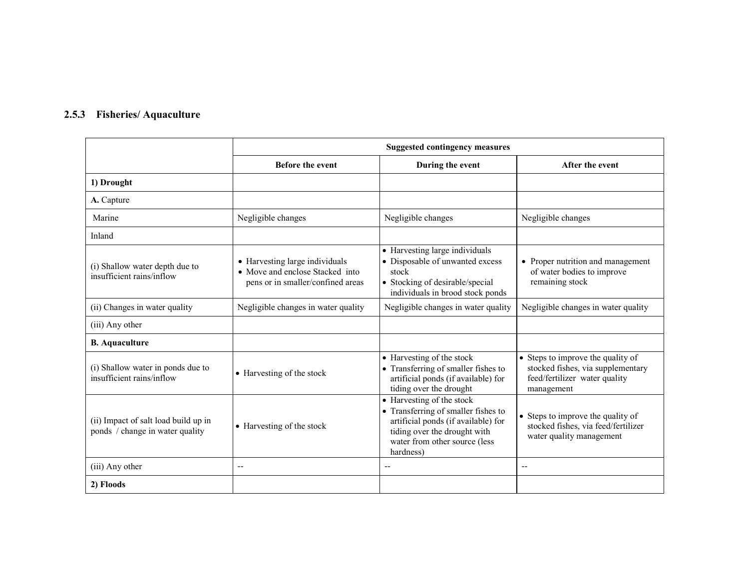#### 2.5.3 Fisheries/ Aquaculture

|                                                                         |                                                                                                        | <b>Suggested contingency measures</b>                                                                                                                                                 |                                                                                                                       |  |  |
|-------------------------------------------------------------------------|--------------------------------------------------------------------------------------------------------|---------------------------------------------------------------------------------------------------------------------------------------------------------------------------------------|-----------------------------------------------------------------------------------------------------------------------|--|--|
|                                                                         | <b>Before the event</b>                                                                                | During the event                                                                                                                                                                      | After the event                                                                                                       |  |  |
| 1) Drought                                                              |                                                                                                        |                                                                                                                                                                                       |                                                                                                                       |  |  |
| A. Capture                                                              |                                                                                                        |                                                                                                                                                                                       |                                                                                                                       |  |  |
| Marine                                                                  | Negligible changes                                                                                     | Negligible changes                                                                                                                                                                    | Negligible changes                                                                                                    |  |  |
| Inland                                                                  |                                                                                                        |                                                                                                                                                                                       |                                                                                                                       |  |  |
| (i) Shallow water depth due to<br>insufficient rains/inflow             | • Harvesting large individuals<br>• Move and enclose Stacked into<br>pens or in smaller/confined areas | • Harvesting large individuals<br>• Disposable of unwanted excess<br>stock<br>• Stocking of desirable/special<br>individuals in brood stock ponds                                     | • Proper nutrition and management<br>of water bodies to improve<br>remaining stock                                    |  |  |
| (ii) Changes in water quality                                           | Negligible changes in water quality                                                                    | Negligible changes in water quality                                                                                                                                                   | Negligible changes in water quality                                                                                   |  |  |
| (iii) Any other                                                         |                                                                                                        |                                                                                                                                                                                       |                                                                                                                       |  |  |
| <b>B.</b> Aquaculture                                                   |                                                                                                        |                                                                                                                                                                                       |                                                                                                                       |  |  |
| (i) Shallow water in ponds due to<br>insufficient rains/inflow          | • Harvesting of the stock                                                                              | • Harvesting of the stock<br>• Transferring of smaller fishes to<br>artificial ponds (if available) for<br>tiding over the drought                                                    | • Steps to improve the quality of<br>stocked fishes, via supplementary<br>feed/fertilizer water quality<br>management |  |  |
| (ii) Impact of salt load build up in<br>ponds / change in water quality | • Harvesting of the stock                                                                              | • Harvesting of the stock<br>• Transferring of smaller fishes to<br>artificial ponds (if available) for<br>tiding over the drought with<br>water from other source (less<br>hardness) | • Steps to improve the quality of<br>stocked fishes, via feed/fertilizer<br>water quality management                  |  |  |
| (iii) Any other                                                         | $-$                                                                                                    | --                                                                                                                                                                                    | $\overline{\phantom{m}}$                                                                                              |  |  |
| 2) Floods                                                               |                                                                                                        |                                                                                                                                                                                       |                                                                                                                       |  |  |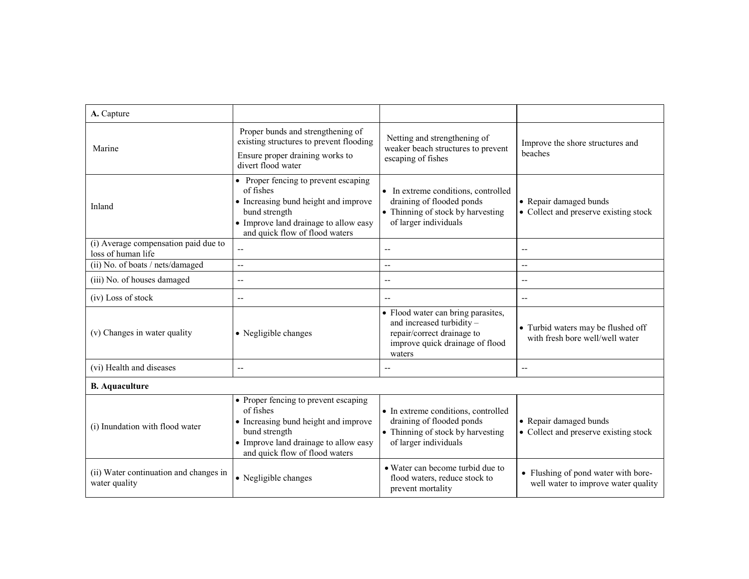| A. Capture                                                 |                                                                                                                                                                                       |                                                                                                                                            |                                                                            |
|------------------------------------------------------------|---------------------------------------------------------------------------------------------------------------------------------------------------------------------------------------|--------------------------------------------------------------------------------------------------------------------------------------------|----------------------------------------------------------------------------|
| Marine                                                     | Proper bunds and strengthening of<br>existing structures to prevent flooding<br>Ensure proper draining works to<br>divert flood water                                                 | Netting and strengthening of<br>weaker beach structures to prevent<br>escaping of fishes                                                   | Improve the shore structures and<br>beaches                                |
| Inland                                                     | • Proper fencing to prevent escaping<br>of fishes<br>• Increasing bund height and improve<br>bund strength<br>• Improve land drainage to allow easy<br>and quick flow of flood waters | • In extreme conditions, controlled<br>draining of flooded ponds<br>• Thinning of stock by harvesting<br>of larger individuals             | • Repair damaged bunds<br>• Collect and preserve existing stock            |
| (i) Average compensation paid due to<br>loss of human life |                                                                                                                                                                                       | $\overline{\phantom{a}}$                                                                                                                   | $-$                                                                        |
| (ii) No. of boats / nets/damaged                           | $\mathbf{u}$                                                                                                                                                                          | $\overline{\phantom{a}}$                                                                                                                   | $-$                                                                        |
| (iii) No. of houses damaged                                | $\overline{\phantom{a}}$                                                                                                                                                              | --                                                                                                                                         | ٠.                                                                         |
| (iv) Loss of stock                                         | $\overline{\phantom{a}}$                                                                                                                                                              | $\overline{a}$                                                                                                                             | $-$                                                                        |
| (v) Changes in water quality                               | • Negligible changes                                                                                                                                                                  | • Flood water can bring parasites,<br>and increased turbidity -<br>repair/correct drainage to<br>improve quick drainage of flood<br>waters | • Turbid waters may be flushed off<br>with fresh bore well/well water      |
| (vi) Health and diseases                                   | $\overline{\phantom{m}}$                                                                                                                                                              | $-$                                                                                                                                        | $-$                                                                        |
| <b>B.</b> Aquaculture                                      |                                                                                                                                                                                       |                                                                                                                                            |                                                                            |
| (i) Inundation with flood water                            | • Proper fencing to prevent escaping<br>of fishes<br>• Increasing bund height and improve<br>bund strength<br>• Improve land drainage to allow easy<br>and quick flow of flood waters | • In extreme conditions, controlled<br>draining of flooded ponds<br>• Thinning of stock by harvesting<br>of larger individuals             | • Repair damaged bunds<br>• Collect and preserve existing stock            |
| (ii) Water continuation and changes in<br>water quality    | • Negligible changes                                                                                                                                                                  | • Water can become turbid due to<br>flood waters, reduce stock to<br>prevent mortality                                                     | • Flushing of pond water with bore-<br>well water to improve water quality |